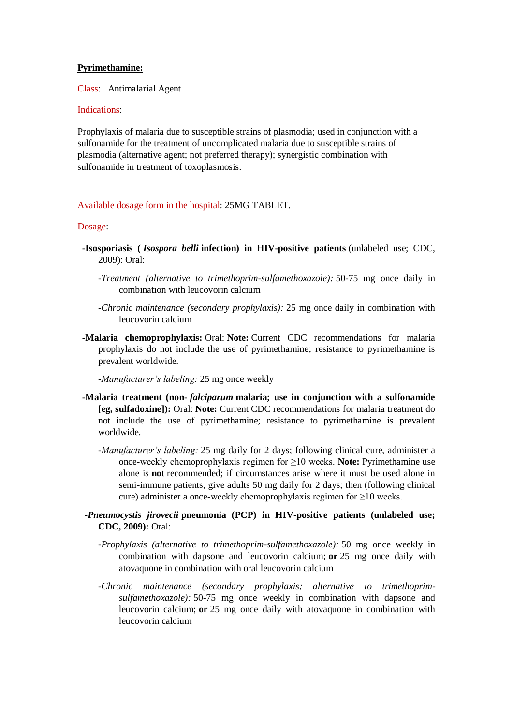### **Pyrimethamine:**

Class: Antimalarial Agent

## Indications:

Prophylaxis of malaria due to susceptible strains of plasmodia; used in conjunction with a sulfonamide for the treatment of uncomplicated malaria due to susceptible strains of plasmodia (alternative agent; not preferred therapy); synergistic combination with sulfonamide in treatment of toxoplasmosis.

### Available dosage form in the hospital: 25MG TABLET.

#### Dosage:

- **-Isosporiasis (** *Isospora belli* **infection) in HIV-positive patients** (unlabeled use; CDC, 2009): Oral:
	- *-Treatment (alternative to trimethoprim-sulfamethoxazole):* 50-75 mg once daily in combination with leucovorin calcium
	- *-Chronic maintenance (secondary prophylaxis):* 25 mg once daily in combination with leucovorin calcium
- **-Malaria chemoprophylaxis:** Oral: **Note:** Current CDC recommendations for malaria prophylaxis do not include the use of pyrimethamine; resistance to pyrimethamine is prevalent worldwide.

*-Manufacturer's labeling:* 25 mg once weekly

- **-Malaria treatment (non-** *falciparum* **malaria; use in conjunction with a sulfonamide [eg, sulfadoxine]):** Oral: **Note:** Current CDC recommendations for malaria treatment do not include the use of pyrimethamine; resistance to pyrimethamine is prevalent worldwide.
	- *-Manufacturer's labeling:* 25 mg daily for 2 days; following clinical cure, administer a once-weekly chemoprophylaxis regimen for ≥10 weeks. **Note:** Pyrimethamine use alone is **not** recommended; if circumstances arise where it must be used alone in semi-immune patients, give adults 50 mg daily for 2 days; then (following clinical cure) administer a once-weekly chemoprophylaxis regimen for ≥10 weeks.
- *-Pneumocystis jirovecii* **pneumonia (PCP) in HIV-positive patients (unlabeled use; CDC, 2009):** Oral:
	- *-Prophylaxis (alternative to trimethoprim-sulfamethoxazole):* 50 mg once weekly in combination with dapsone and leucovorin calcium; **or** 25 mg once daily with atovaquone in combination with oral leucovorin calcium
	- *-Chronic maintenance (secondary prophylaxis; alternative to trimethoprimsulfamethoxazole):* 50-75 mg once weekly in combination with dapsone and leucovorin calcium; **or** 25 mg once daily with atovaquone in combination with leucovorin calcium